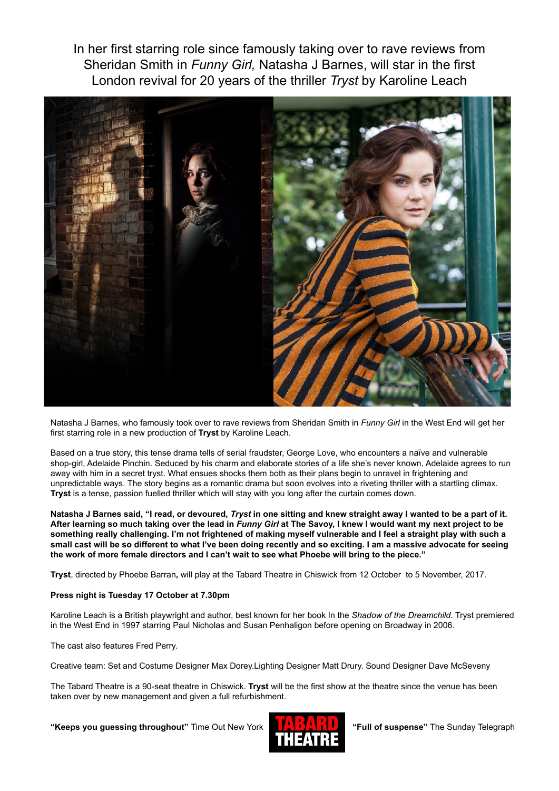In her first starring role since famously taking over to rave reviews from Sheridan Smith in *Funny Girl,* Natasha J Barnes, will star in the first London revival for 20 years of the thriller *Tryst* by Karoline Leach



Natasha J Barnes, who famously took over to rave reviews from Sheridan Smith in *Funny Girl* in the West End will get her first starring role in a new production of **Tryst** by Karoline Leach.

Based on a true story, this tense drama tells of serial fraudster, George Love, who encounters a naïve and vulnerable shop-girl, Adelaide Pinchin. Seduced by his charm and elaborate stories of a life she's never known, Adelaide agrees to run away with him in a secret tryst. What ensues shocks them both as their plans begin to unravel in frightening and unpredictable ways. The story begins as a romantic drama but soon evolves into a riveting thriller with a startling climax. **Tryst** is a tense, passion fuelled thriller which will stay with you long after the curtain comes down.

**Natasha J Barnes said, "I read, or devoured,** *Tryst* **in one sitting and knew straight away I wanted to be a part of it. After learning so much taking over the lead in** *Funny Girl* **at The Savoy, I knew I would want my next project to be something really challenging. I'm not frightened of making myself vulnerable and I feel a straight play with such a small cast will be so different to what I've been doing recently and so exciting. I am a massive advocate for seeing the work of more female directors and I can't wait to see what Phoebe will bring to the piece."**

**Tryst**, directed by Phoebe Barran**,** will play at the Tabard Theatre in Chiswick from 12 October to 5 November, 2017.

## **Press night is Tuesday 17 October at 7.30pm**

Karoline Leach is a British playwright and author, best known for her book In the *Shadow of the Dreamchild*. Tryst premiered in the West End in 1997 starring Paul Nicholas and Susan Penhaligon before opening on Broadway in 2006.

The cast also features Fred Perry.

Creative team: Set and Costume Designer Max Dorey.Lighting Designer Matt Drury. Sound Designer Dave McSeveny

The Tabard Theatre is a 90-seat theatre in Chiswick. **Tryst** will be the first show at the theatre since the venue has been taken over by new management and given a full refurbishment.

**"Keeps you guessing throughout"** Time Out New York **"Full of suspense"** The Sunday Telegraph